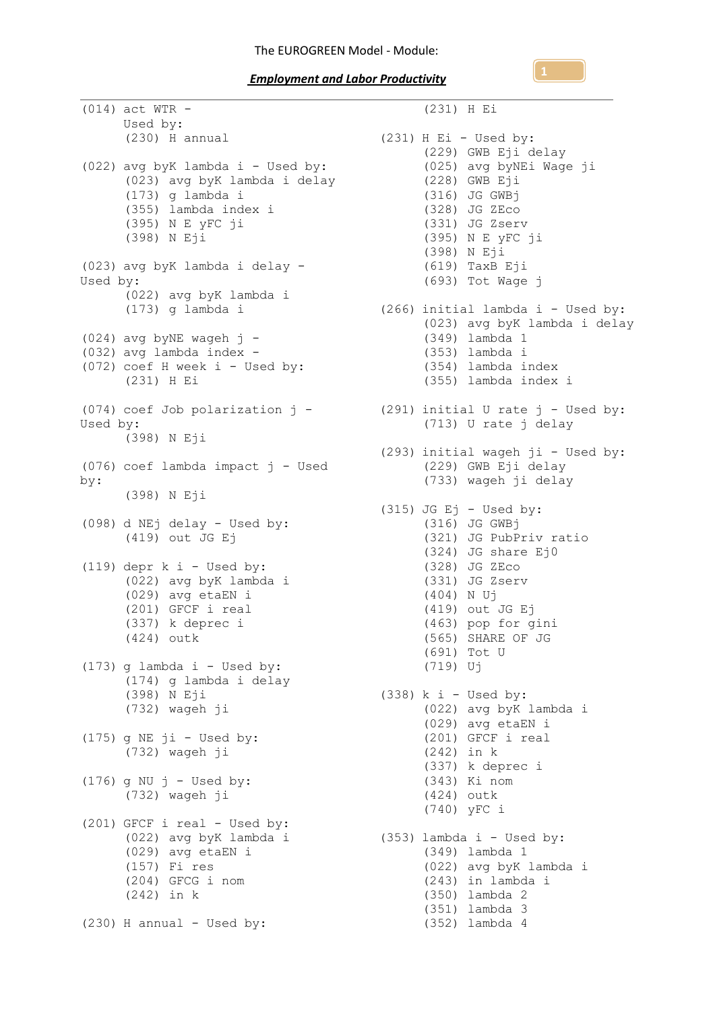## *Employment and Labor Productivity*

(014) act WTR - Used by: (230) H annual  $(022)$  avg byK lambda i - Used by: (023) avg byK lambda i delay (173) g lambda i (355) lambda index i (395) N E yFC ji (398) N Eji (023) avg byK lambda i delay - Used by: (022) avg byK lambda i (173) g lambda i (024) avg byNE wageh j - (032) avg lambda index -  $(072)$  coef H week i - Used by: (231) H Ei Used by: (398) N Eji (076) coef lambda impact j - Used by: (398) N Eji (098) d NEj delay - Used by: (419) out JG Ej  $(119)$  depr k i - Used by: (022) avg byK lambda i (029) avg etaEN i (201) GFCF i real (337) k deprec i (424) outk (173) g lambda i - Used by: (174) g lambda i delay (398) N Eji (732) wageh ji  $(175)$  g NE ji - Used by: (732) wageh ji  $(176)$  g NU j - Used by: (732) wageh ji  $(201)$  GFCF i real - Used by: (022) avg byK lambda i (353) lambda i - Used by: (029) avg etaEN i (157) Fi res (204) GFCG i nom (242) in k  $(230)$  H annual - Used by:

(074) coef Job polarization j - (291) initial U rate j - Used by: (231) H Ei  $(231)$  H Ei - Used by: (229) GWB Eji delay (025) avg byNEi Wage ji (228) GWB Eji (316) JG GWBj (328) JG ZEco (331) JG Zserv (395) N E yFC ji (398) N Eji (619) TaxB Eji (693) Tot Wage j (266) initial lambda i - Used by: (023) avg byK lambda i delay (349) lambda 1 (353) lambda i (354) lambda index (355) lambda index i (713) U rate j delay (293) initial wageh ji - Used by: (229) GWB Eji delay (733) wageh ji delay  $(315)$  JG Ej - Used by: (316) JG GWBj (321) JG PubPriv ratio (324) JG share Ej0 (328) JG ZEco (331) JG Zserv (404) N Uj (419) out JG Ej (463) pop for gini (565) SHARE OF JG (691) Tot U (719) Uj  $(338)$  k i - Used by: (022) avg byK lambda i (029) avg etaEN i (201) GFCF i real (242) in k (337) k deprec i (343) Ki nom (424) outk (740) yFC i (349) lambda 1 (022) avg byK lambda i (243) in lambda i (350) lambda 2 (351) lambda 3 (352) lambda 4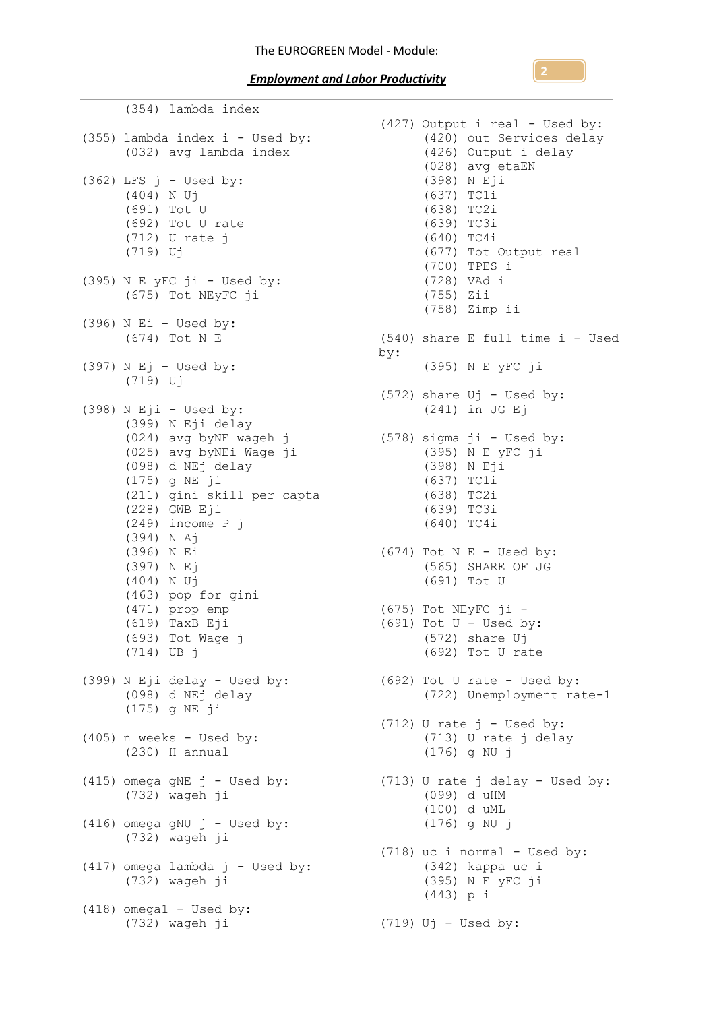(354) lambda index (355) lambda index i - Used by: (032) avg lambda index  $(362)$  LFS  $j$  - Used by: (404) N Uj (691) Tot U (692) Tot U rate (712) U rate j (719) Uj  $(395)$  N E yFC ji - Used by: (675) Tot NEyFC ji  $(396)$  N Ei - Used by: (674) Tot N E  $(397)$  N Ej - Used by: (719) Uj  $(398)$  N Eji - Used by: (399) N Eji delay (024) avg byNE wageh j (025) avg byNEi Wage ji (098) d NEj delay (175) g NE ji (211) gini skill per capta (228) GWB Eji (249) income P j (394) N Aj (396) N Ei (397) N Ej (404) N Uj (463) pop for gini (471) prop emp (619) TaxB Eji (693) Tot Wage j (714) UB j (399) N Eji delay - Used by: (692) Tot U rate - Used by: (098) d NEj delay (175) g NE ji (405) n weeks - Used by: (230) H annual (415) omega gNE  $j$  - Used by: (732) wageh ji  $(416)$  omega gNU j - Used by: (732) wageh ji (417) omega lambda j - Used by: (732) wageh ji  $(418)$  omegal - Used by: (732) wageh ji

(427) Output i real - Used by: (420) out Services delay (426) Output i delay (028) avg etaEN (398) N Eji (637) TC1i (638) TC2i (639) TC3i (640) TC4i (677) Tot Output real (700) TPES i (728) VAd i (755) Zii (758) Zimp ii (540) share E full time i - Used by: (395) N E yFC ji  $(572)$  share Uj - Used by: (241) in JG Ej (578) sigma ji - Used by: (395) N E yFC ji (398) N Eji (637) TC1i (638) TC2i (639) TC3i (640) TC4i  $(674)$  Tot N E - Used by: (565) SHARE OF JG (691) Tot U (675) Tot NEyFC ji -  $(691)$  Tot U - Used by: (572) share Uj (692) Tot U rate (722) Unemployment rate-1  $(712)$  U rate  $j$  - Used by: (713) U rate j delay (176) g NU j (713) U rate j delay - Used by: (099) d uHM (100) d uML (176) g NU j (718) uc i normal - Used by: (342) kappa uc i (395) N E yFC ji (443) p i (719) Uj - Used by: